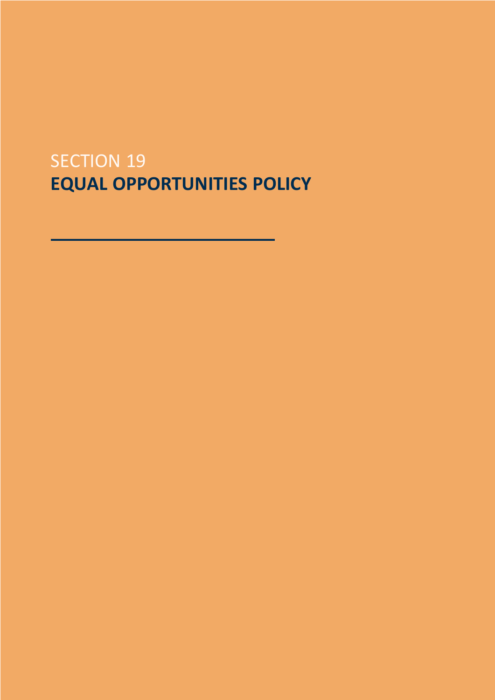# SECTION 19 **EQUAL OPPORTUNITIES POLICY**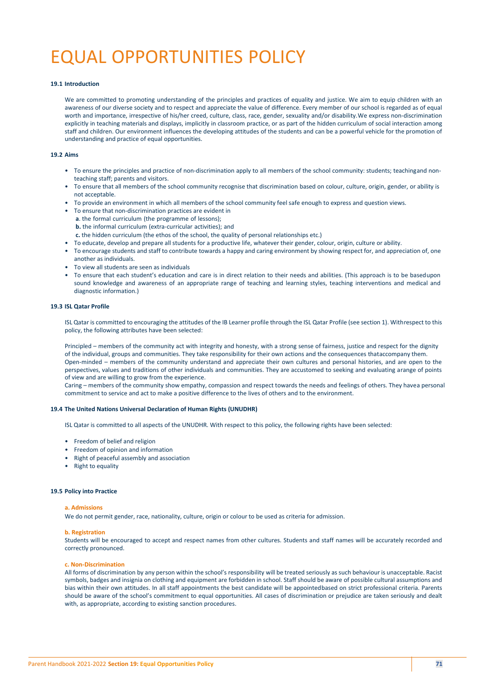# EQUAL OPPORTUNITIES POLICY

# **19.1 Introduction**

We are committed to promoting understanding of the principles and practices of equality and justice. We aim to equip children with an awareness of our diverse society and to respect and appreciate the value of difference. Every member of our school is regarded as of equal worth and importance, irrespective of his/her creed, culture, class, race, gender, sexuality and/or disability.We express non-discrimination explicitly in teaching materials and displays, implicitly in classroom practice, or as part of the hidden curriculum of social interaction among staff and children. Our environment influences the developing attitudes of the students and can be a powerful vehicle for the promotion of understanding and practice of equal opportunities.

# **19.2 Aims**

- To ensure the principles and practice of non-discrimination apply to all members of the school community: students; teachingand nonteaching staff; parents and visitors.
- To ensure that all members of the school community recognise that discrimination based on colour, culture, origin, gender, or ability is not acceptable.
- To provide an environment in which all members of the school community feel safe enough to express and question views.
- To ensure that non-discrimination practices are evident in **a**. the formal curriculum (the programme of lessons); **b.** the informal curriculum (extra-curricular activities); and
	- **c.** the hidden curriculum (the ethos of the school, the quality of personal relationships etc.)
- To educate, develop and prepare all students for a productive life, whatever their gender, colour, origin, culture or ability.
- To encourage students and staff to contribute towards a happy and caring environment by showing respect for, and appreciation of, one another as individuals.
- To view all students are seen as individuals
- To ensure that each student's education and care is in direct relation to their needs and abilities. (This approach is to be basedupon sound knowledge and awareness of an appropriate range of teaching and learning styles, teaching interventions and medical and diagnostic information.)

#### **19.3 ISL Qatar Profile**

ISL Qatar is committed to encouraging the attitudes of the IB Learner profile through the ISL Qatar Profile (see section 1). Withrespect to this policy, the following attributes have been selected:

Principled – members of the community act with integrity and honesty, with a strong sense of fairness, justice and respect for the dignity of the individual, groups and communities. They take responsibility for their own actions and the consequences thataccompany them. Open-minded – members of the community understand and appreciate their own cultures and personal histories, and are open to the perspectives, values and traditions of other individuals and communities. They are accustomed to seeking and evaluating arange of points of view and are willing to grow from the experience.

Caring – members of the community show empathy, compassion and respect towards the needs and feelings of others. They havea personal commitment to service and act to make a positive difference to the lives of others and to the environment.

#### **19.4 The United Nations Universal Declaration of Human Rights (UNUDHR)**

ISL Qatar is committed to all aspects of the UNUDHR. With respect to this policy, the following rights have been selected:

- Freedom of belief and religion
- Freedom of opinion and information
- Right of peaceful assembly and association
- Right to equality

#### **19.5 Policy into Practice**

#### **a. Admissions**

We do not permit gender, race, nationality, culture, origin or colour to be used as criteria for admission.

#### **b. Registration**

Students will be encouraged to accept and respect names from other cultures. Students and staff names will be accurately recorded and correctly pronounced.

#### **c. Non-Discrimination**

All forms of discrimination by any person within the school's responsibility will be treated seriously as such behaviour is unacceptable. Racist symbols, badges and insignia on clothing and equipment are forbidden in school. Staff should be aware of possible cultural assumptions and bias within their own attitudes. In all staff appointments the best candidate will be appointedbased on strict professional criteria. Parents should be aware of the school's commitment to equal opportunities. All cases of discrimination or prejudice are taken seriously and dealt with, as appropriate, according to existing sanction procedures.